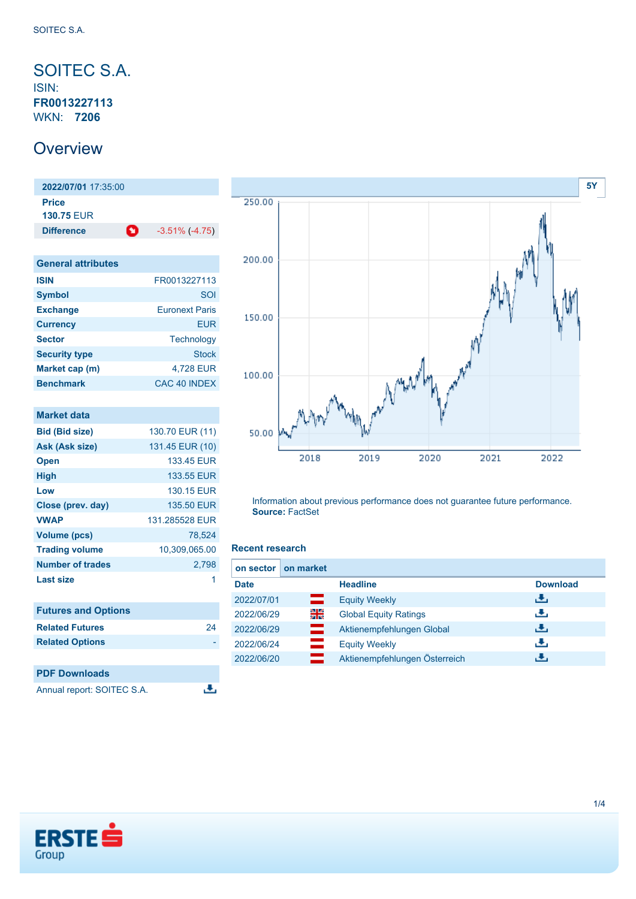<span id="page-0-0"></span>SOITEC S.A. ISIN: **FR0013227113** WKN: **7206**

### **Overview**

**2022/07/01** 17:35:00 **Price 130.75** EUR **Difference 1** -3.51% (-4.75)

| <b>General attributes</b> |                       |
|---------------------------|-----------------------|
| <b>ISIN</b>               | FR0013227113          |
| <b>Symbol</b>             | SOI                   |
| <b>Exchange</b>           | <b>Furonext Paris</b> |
| <b>Currency</b>           | FUR                   |
| <b>Sector</b>             | <b>Technology</b>     |
| <b>Security type</b>      | <b>Stock</b>          |
| Market cap (m)            | 4,728 EUR             |
| <b>Benchmark</b>          | CAC 40 INDEX          |

| <b>Market data</b>         |                 |
|----------------------------|-----------------|
| <b>Bid (Bid size)</b>      | 130.70 EUR (11) |
| Ask (Ask size)             | 131.45 EUR (10) |
| <b>Open</b>                | 133.45 EUR      |
| High                       | 133.55 EUR      |
| Low                        | 130.15 EUR      |
| Close (prev. day)          | 135.50 EUR      |
| <b>VWAP</b>                | 131.285528 EUR  |
| <b>Volume (pcs)</b>        | 78,524          |
| <b>Trading volume</b>      | 10,309,065.00   |
| <b>Number of trades</b>    | 2,798           |
| Last size                  | 1               |
|                            |                 |
| <b>Futures and Options</b> |                 |
| <b>Related Futures</b>     | 24              |
| <b>Related Options</b>     |                 |
|                            |                 |



Information about previous performance does not guarantee future performance. **Source:** FactSet

### **Recent research**

æ,

| on sector   | on market  |                               |                 |
|-------------|------------|-------------------------------|-----------------|
| <b>Date</b> |            | <b>Headline</b>               | <b>Download</b> |
| 2022/07/01  | —          | <b>Equity Weekly</b>          | رالى            |
| 2022/06/29  | 꾉뚢         | <b>Global Equity Ratings</b>  | رنان            |
| 2022/06/29  | —          | Aktienempfehlungen Global     | رالى            |
| 2022/06/24  |            | <b>Equity Weekly</b>          | رالى            |
| 2022/06/20  | <u>e a</u> | Aktienempfehlungen Österreich | J.              |



**PDF Downloads**

Annual report: SOITEC S.A.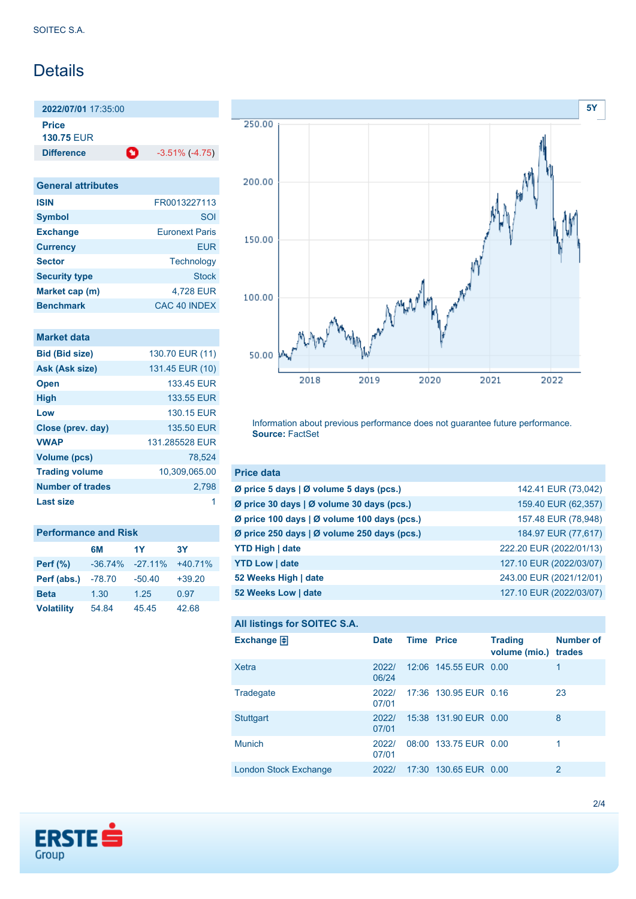# Details

**2022/07/01** 17:35:00 **Price 130.75** EUR

**Difference 1** -3.51% (-4.75)

| <b>General attributes</b> |                       |
|---------------------------|-----------------------|
| <b>ISIN</b>               | FR0013227113          |
| <b>Symbol</b>             | SOI                   |
| <b>Exchange</b>           | <b>Euronext Paris</b> |
| <b>Currency</b>           | FUR                   |
| <b>Sector</b>             | Technology            |
| <b>Security type</b>      | Stock                 |
| Market cap (m)            | 4.728 EUR             |
| <b>Benchmark</b>          | CAC 40 INDEX          |

|  | <b>Market data</b> |  |
|--|--------------------|--|
|  |                    |  |
|  |                    |  |
|  |                    |  |

| <b>Bid (Bid size)</b>   | 130.70 EUR (11) |
|-------------------------|-----------------|
| Ask (Ask size)          | 131.45 EUR (10) |
| <b>Open</b>             | 133.45 FUR      |
| <b>High</b>             | 133.55 EUR      |
| Low                     | 130.15 FUR      |
| Close (prev. day)       | 135.50 EUR      |
| <b>VWAP</b>             | 131.285528 EUR  |
| Volume (pcs)            | 78.524          |
| <b>Trading volume</b>   | 10,309,065.00   |
| <b>Number of trades</b> | 2.798           |
| <b>Last size</b>        | 1               |
|                         |                 |

| <b>Performance and Risk</b> |           |            |           |  |
|-----------------------------|-----------|------------|-----------|--|
|                             | 6M        | 1Y         | <b>3Y</b> |  |
| <b>Perf</b> (%)             | $-36.74%$ | $-27.11\%$ | $+40.71%$ |  |
| Perf (abs.)                 | $-78.70$  | $-50.40$   | $+39.20$  |  |
| <b>Beta</b>                 | 1.30      | 1.25       | 0.97      |  |
| <b>Volatility</b>           | 54.84     | 45.45      | 42.68     |  |



Information about previous performance does not guarantee future performance. **Source:** FactSet

| <b>Price data</b>                           |                         |
|---------------------------------------------|-------------------------|
| Ø price 5 days   Ø volume 5 days (pcs.)     | 142.41 EUR (73,042)     |
| Ø price 30 days   Ø volume 30 days (pcs.)   | 159.40 EUR (62,357)     |
| Ø price 100 days   Ø volume 100 days (pcs.) | 157.48 EUR (78,948)     |
| Ø price 250 days   Ø volume 250 days (pcs.) | 184.97 EUR (77,617)     |
| <b>YTD High   date</b>                      | 222.20 EUR (2022/01/13) |
| <b>YTD Low   date</b>                       | 127.10 EUR (2022/03/07) |
| 52 Weeks High   date                        | 243.00 EUR (2021/12/01) |
| 52 Weeks Low   date                         | 127.10 EUR (2022/03/07) |

```
All listings for SOITEC S.A.
```

| <b>Date</b>    |  | <b>Trading</b>    | <b>Number of</b>                                                                                                                                  |
|----------------|--|-------------------|---------------------------------------------------------------------------------------------------------------------------------------------------|
| 2022/<br>06/24 |  |                   | 1                                                                                                                                                 |
| 2022/<br>07/01 |  |                   | 23                                                                                                                                                |
| 2022/<br>07/01 |  |                   | 8                                                                                                                                                 |
| 2022/<br>07/01 |  |                   | 1                                                                                                                                                 |
| 2022/          |  |                   | $\overline{2}$                                                                                                                                    |
|                |  | <b>Time Price</b> | volume (mio.) trades<br>12:06 145.55 EUR 0.00<br>17:36 130.95 EUR 0.16<br>15:38 131.90 EUR 0.00<br>08:00 133.75 EUR 0.00<br>17:30 130.65 EUR 0.00 |

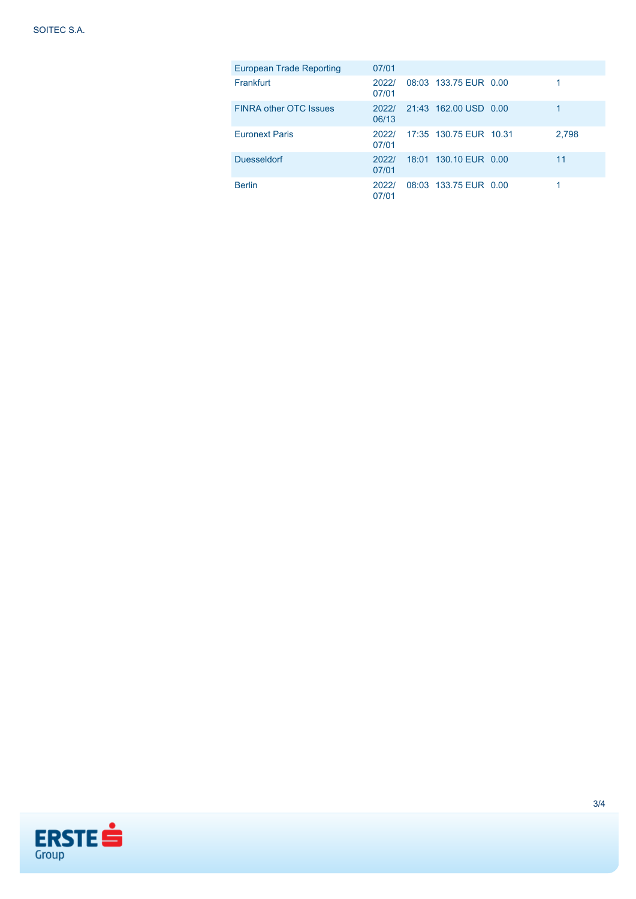| <b>European Trade Reporting</b> | 07/01          |                        |       |
|---------------------------------|----------------|------------------------|-------|
| Frankfurt                       | 2022/<br>07/01 | 08:03 133.75 EUR 0.00  |       |
| <b>FINRA other OTC Issues</b>   | 2022/<br>06/13 | 21:43 162.00 USD 0.00  | 1     |
| <b>Euronext Paris</b>           | 2022/<br>07/01 | 17:35 130.75 EUR 10.31 | 2,798 |
| <b>Duesseldorf</b>              | 2022/<br>07/01 | 18:01 130.10 EUR 0.00  | 11    |
| <b>Berlin</b>                   | 2022/<br>07/01 | 08:03 133.75 EUR 0.00  |       |